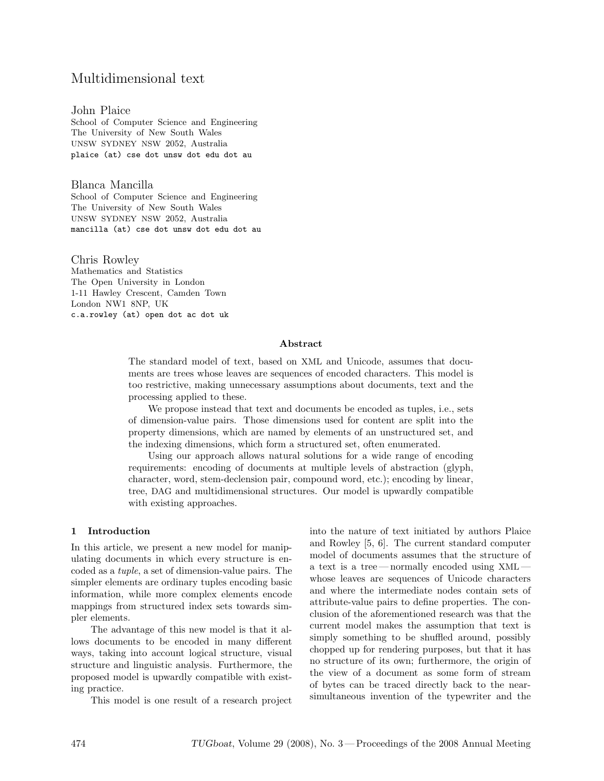# Multidimensional text

John Plaice School of Computer Science and Engineering The University of New South Wales UNSW SYDNEY NSW 2052, Australia plaice (at) cse dot unsw dot edu dot au

Blanca Mancilla School of Computer Science and Engineering The University of New South Wales UNSW SYDNEY NSW 2052, Australia mancilla (at) cse dot unsw dot edu dot au

Chris Rowley Mathematics and Statistics The Open University in London 1-11 Hawley Crescent, Camden Town London NW1 8NP, UK c.a.rowley (at) open dot ac dot uk

#### Abstract

The standard model of text, based on XML and Unicode, assumes that documents are trees whose leaves are sequences of encoded characters. This model is too restrictive, making unnecessary assumptions about documents, text and the processing applied to these.

We propose instead that text and documents be encoded as tuples, i.e., sets of dimension-value pairs. Those dimensions used for content are split into the property dimensions, which are named by elements of an unstructured set, and the indexing dimensions, which form a structured set, often enumerated.

Using our approach allows natural solutions for a wide range of encoding requirements: encoding of documents at multiple levels of abstraction (glyph, character, word, stem-declension pair, compound word, etc.); encoding by linear, tree, DAG and multidimensional structures. Our model is upwardly compatible with existing approaches.

### 1 Introduction

In this article, we present a new model for manipulating documents in which every structure is encoded as a tuple, a set of dimension-value pairs. The simpler elements are ordinary tuples encoding basic information, while more complex elements encode mappings from structured index sets towards simpler elements.

The advantage of this new model is that it allows documents to be encoded in many different ways, taking into account logical structure, visual structure and linguistic analysis. Furthermore, the proposed model is upwardly compatible with existing practice.

This model is one result of a research project

into the nature of text initiated by authors Plaice and Rowley [5, 6]. The current standard computer model of documents assumes that the structure of a text is a tree — normally encoded using XML whose leaves are sequences of Unicode characters and where the intermediate nodes contain sets of attribute-value pairs to define properties. The conclusion of the aforementioned research was that the current model makes the assumption that text is simply something to be shuffled around, possibly chopped up for rendering purposes, but that it has no structure of its own; furthermore, the origin of the view of a document as some form of stream of bytes can be traced directly back to the nearsimultaneous invention of the typewriter and the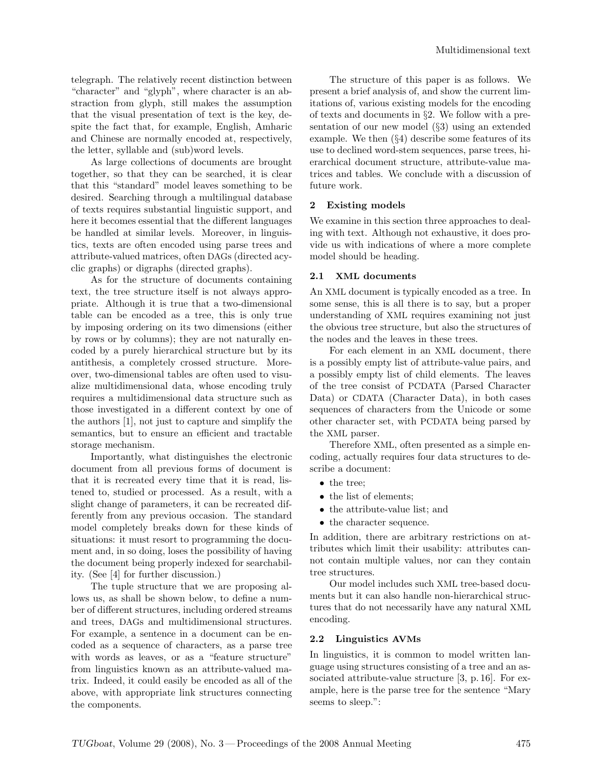telegraph. The relatively recent distinction between "character" and "glyph", where character is an abstraction from glyph, still makes the assumption that the visual presentation of text is the key, despite the fact that, for example, English, Amharic and Chinese are normally encoded at, respectively, the letter, syllable and (sub)word levels.

As large collections of documents are brought together, so that they can be searched, it is clear that this "standard" model leaves something to be desired. Searching through a multilingual database of texts requires substantial linguistic support, and here it becomes essential that the different languages be handled at similar levels. Moreover, in linguistics, texts are often encoded using parse trees and attribute-valued matrices, often DAGs (directed acyclic graphs) or digraphs (directed graphs).

As for the structure of documents containing text, the tree structure itself is not always appropriate. Although it is true that a two-dimensional table can be encoded as a tree, this is only true by imposing ordering on its two dimensions (either by rows or by columns); they are not naturally encoded by a purely hierarchical structure but by its antithesis, a completely crossed structure. Moreover, two-dimensional tables are often used to visualize multidimensional data, whose encoding truly requires a multidimensional data structure such as those investigated in a different context by one of the authors [1], not just to capture and simplify the semantics, but to ensure an efficient and tractable storage mechanism.

Importantly, what distinguishes the electronic document from all previous forms of document is that it is recreated every time that it is read, listened to, studied or processed. As a result, with a slight change of parameters, it can be recreated differently from any previous occasion. The standard model completely breaks down for these kinds of situations: it must resort to programming the document and, in so doing, loses the possibility of having the document being properly indexed for searchability. (See [4] for further discussion.)

The tuple structure that we are proposing allows us, as shall be shown below, to define a number of different structures, including ordered streams and trees, DAGs and multidimensional structures. For example, a sentence in a document can be encoded as a sequence of characters, as a parse tree with words as leaves, or as a "feature structure" from linguistics known as an attribute-valued matrix. Indeed, it could easily be encoded as all of the above, with appropriate link structures connecting the components.

The structure of this paper is as follows. We present a brief analysis of, and show the current limitations of, various existing models for the encoding of texts and documents in §2. We follow with a presentation of our new model (§3) using an extended example. We then (§4) describe some features of its use to declined word-stem sequences, parse trees, hierarchical document structure, attribute-value matrices and tables. We conclude with a discussion of future work.

### 2 Existing models

We examine in this section three approaches to dealing with text. Although not exhaustive, it does provide us with indications of where a more complete model should be heading.

### 2.1 XML documents

An XML document is typically encoded as a tree. In some sense, this is all there is to say, but a proper understanding of XML requires examining not just the obvious tree structure, but also the structures of the nodes and the leaves in these trees.

For each element in an XML document, there is a possibly empty list of attribute-value pairs, and a possibly empty list of child elements. The leaves of the tree consist of PCDATA (Parsed Character Data) or CDATA (Character Data), in both cases sequences of characters from the Unicode or some other character set, with PCDATA being parsed by the XML parser.

Therefore XML, often presented as a simple encoding, actually requires four data structures to describe a document:

- the tree;
- the list of elements;
- the attribute-value list; and
- the character sequence.

In addition, there are arbitrary restrictions on attributes which limit their usability: attributes cannot contain multiple values, nor can they contain tree structures.

Our model includes such XML tree-based documents but it can also handle non-hierarchical structures that do not necessarily have any natural XML encoding.

### 2.2 Linguistics AVMs

In linguistics, it is common to model written language using structures consisting of a tree and an associated attribute-value structure [3, p. 16]. For example, here is the parse tree for the sentence "Mary seems to sleep.":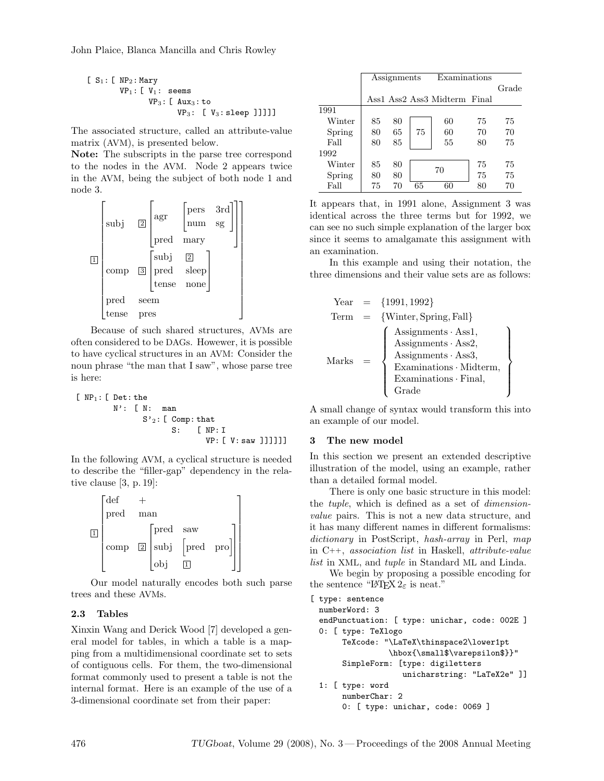John Plaice, Blanca Mancilla and Chris Rowley

$$
\begin{array}{ll}\n\text{[ S]}: \text{[ NP]}: \text{Mary} \\
& \text{VP}_1: \text{[ V]}: \text{ seems} \\
& \text{VP}_3: \text{[ Aux}_3: \text{to} \\
& \text{VP}_3: \text{ [ V}_3: \text{sleep }]]]]]\n\end{array}
$$

The associated structure, called an attribute-value matrix (AVM), is presented below.

Note: The subscripts in the parse tree correspond to the nodes in the AVM. Node 2 appears twice in the AVM, being the subject of both node 1 and node 3.



Because of such shared structures, AVMs are often considered to be DAGs. Howewer, it is possible to have cyclical structures in an AVM: Consider the noun phrase "the man that I saw", whose parse tree is here:

 $[NP_1: [Det: the$ N': [ N: man  $S'_{2}$ : [ Comp: that S: [ NP: I VP: [ V: saw ]]]]]]

In the following AVM, a cyclical structure is needed to describe the "filler-gap" dependency in the relative clause [3, p. 19]:



Our model naturally encodes both such parse trees and these AVMs.

# 2.3 Tables

Xinxin Wang and Derick Wood [7] developed a general model for tables, in which a table is a mapping from a multidimensional coordinate set to sets of contiguous cells. For them, the two-dimensional format commonly used to present a table is not the internal format. Here is an example of the use of a 3-dimensional coordinate set from their paper:

|        | $\overline{A}$ ssignments |    | Examinations |                              |    |       |
|--------|---------------------------|----|--------------|------------------------------|----|-------|
|        |                           |    |              |                              |    | Grade |
|        |                           |    |              | Ass1 Ass2 Ass3 Midterm Final |    |       |
| 1991   |                           |    |              |                              |    |       |
| Winter | 85                        | 80 |              | 60                           | 75 | 75    |
| Spring | 80                        | 65 | 75           | 60                           | 70 | 70    |
| Fall   | 80                        | 85 |              | 55                           | 80 | 75    |
| 1992   |                           |    |              |                              |    |       |
| Winter | 85                        | 80 |              | 75                           |    | 75    |
| Spring | 80                        | 80 |              | 70                           | 75 | 75    |
| Fall   | 75                        | 70 | 65           | 60                           | 80 | 70    |

It appears that, in 1991 alone, Assignment 3 was identical across the three terms but for 1992, we can see no such simple explanation of the larger box since it seems to amalgamate this assignment with an examination.

In this example and using their notation, the three dimensions and their value sets are as follows:

Year = {1991, 1992} Term = {Winter, Spring, Fall} Marks = Assignments · Ass1, Assignments · Ass2, Assignments · Ass3, Examinations · Midterm, Examinations · Final, Grade 

A small change of syntax would transform this into an example of our model.

### 3 The new model

In this section we present an extended descriptive illustration of the model, using an example, rather than a detailed formal model.

There is only one basic structure in this model: the tuple, which is defined as a set of dimensionvalue pairs. This is not a new data structure, and it has many different names in different formalisms: dictionary in PostScript, hash-array in Perl, map in C++, association list in Haskell, attribute-value list in XML, and tuple in Standard ML and Linda.

We begin by proposing a possible encoding for the sentence "LAT<sub>E</sub>X  $2\varepsilon$  is neat."

```
[ type: sentence
 numberWord: 3
 endPunctuation: [ type: unichar, code: 002E ]
 0: [ type: TeXlogo
       TeXcode: "\LaTeX\thinspace2\lower1pt
                 \hbox{\small$\varepsilon$}}"
       SimpleForm: [type: digiletters
                    unicharstring: "LaTeX2e" ]]
 1: [ type: word
       numberChar: 2
       0: [ type: unichar, code: 0069 ]
```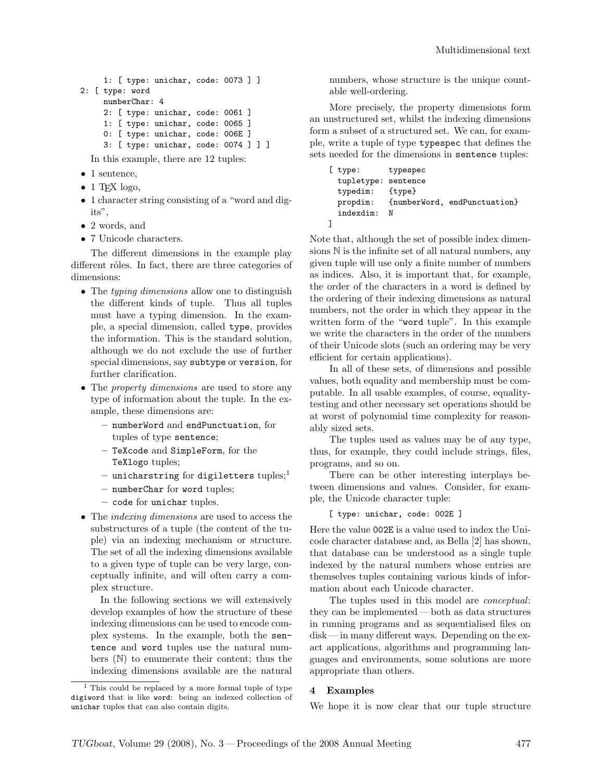```
1: [ type: unichar, code: 0073 ] ]
2: [ type: word
     numberChar: 4
     2: [ type: unichar, code: 0061 ]
     1: [ type: unichar, code: 0065 ]
     0: [ type: unichar, code: 006E ]
     3: [ type: unichar, code: 0074 ] ] ]
```
In this example, there are 12 tuples:

- 1 sentence,
- 1 T<sub>F</sub>X logo,
- 1 character string consisting of a "word and digits",
- 2 words, and
- 7 Unicode characters.

The different dimensions in the example play different rôles. In fact, there are three categories of dimensions:

- The *typing dimensions* allow one to distinguish the different kinds of tuple. Thus all tuples must have a typing dimension. In the example, a special dimension, called type, provides the information. This is the standard solution, although we do not exclude the use of further special dimensions, say subtype or version, for further clarification.
- The *property dimensions* are used to store any type of information about the tuple. In the example, these dimensions are:
	- numberWord and endPunctuation, for tuples of type sentence;
	- TeXcode and SimpleForm, for the TeXlogo tuples;
	- unicharstring for digiletters tuples;<sup>1</sup>
	- numberChar for word tuples;
	- code for unichar tuples.
- The *indexing dimensions* are used to access the substructures of a tuple (the content of the tuple) via an indexing mechanism or structure. The set of all the indexing dimensions available to a given type of tuple can be very large, conceptually infinite, and will often carry a complex structure.

In the following sections we will extensively develop examples of how the structure of these indexing dimensions can be used to encode complex systems. In the example, both the sentence and word tuples use the natural numbers (N) to enumerate their content; thus the indexing dimensions available are the natural

numbers, whose structure is the unique countable well-ordering.

More precisely, the property dimensions form an unstructured set, whilst the indexing dimensions form a subset of a structured set. We can, for example, write a tuple of type typespec that defines the sets needed for the dimensions in sentence tuples:

```
[ type: typespec
  tupletype: sentence
 typedim: {type}
 propdim: {numberWord, endPunctuation}
  indexdim: N
]
```
Note that, although the set of possible index dimensions N is the infinite set of all natural numbers, any given tuple will use only a finite number of numbers as indices. Also, it is important that, for example, the order of the characters in a word is defined by the ordering of their indexing dimensions as natural numbers, not the order in which they appear in the written form of the "word tuple". In this example we write the characters in the order of the numbers of their Unicode slots (such an ordering may be very efficient for certain applications).

In all of these sets, of dimensions and possible values, both equality and membership must be computable. In all usable examples, of course, equalitytesting and other necessary set operations should be at worst of polynomial time complexity for reasonably sized sets.

The tuples used as values may be of any type, thus, for example, they could include strings, files, programs, and so on.

There can be other interesting interplays between dimensions and values. Consider, for example, the Unicode character tuple:

[ type: unichar, code: 002E ]

Here the value 002E is a value used to index the Unicode character database and, as Bella [2] has shown, that database can be understood as a single tuple indexed by the natural numbers whose entries are themselves tuples containing various kinds of information about each Unicode character.

The tuples used in this model are conceptual: they can be implemented — both as data structures in running programs and as sequentialised files on disk — in many different ways. Depending on the exact applications, algorithms and programming languages and environments, some solutions are more appropriate than others.

### 4 Examples

We hope it is now clear that our tuple structure

<sup>1</sup> This could be replaced by a more formal tuple of type digiword that is like word: being an indexed collection of unichar tuples that can also contain digits.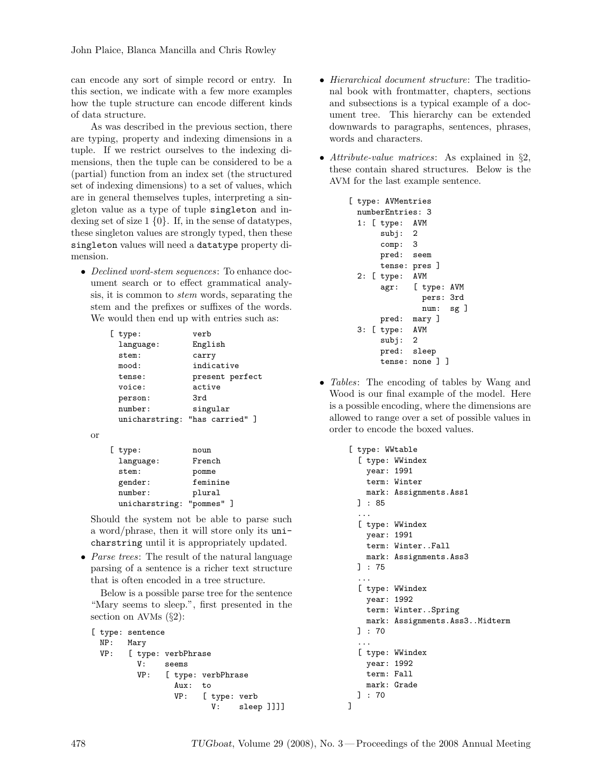can encode any sort of simple record or entry. In this section, we indicate with a few more examples how the tuple structure can encode different kinds of data structure.

As was described in the previous section, there are typing, property and indexing dimensions in a tuple. If we restrict ourselves to the indexing dimensions, then the tuple can be considered to be a (partial) function from an index set (the structured set of indexing dimensions) to a set of values, which are in general themselves tuples, interpreting a singleton value as a type of tuple singleton and indexing set of size  $1 \{0\}$ . If, in the sense of datatypes, these singleton values are strongly typed, then these singleton values will need a datatype property dimension.

• Declined word-stem sequences: To enhance document search or to effect grammatical analysis, it is common to stem words, separating the stem and the prefixes or suffixes of the words. We would then end up with entries such as:

| type:          | verb            |
|----------------|-----------------|
| language:      | English         |
| stem:          | carry           |
| mood:          | indicative      |
| tense:         | present perfect |
| voice:         | active          |
| person:        | 3rd             |
| number:        | singular        |
| unicharstring: | "has carried" ] |

```
or
```

| $[$ type:      | noun     |  |  |
|----------------|----------|--|--|
| language:      | French   |  |  |
| stem:          | pomme    |  |  |
| gender:        | feminine |  |  |
| number:        | plural   |  |  |
| unicharstring: | "pommes" |  |  |

Should the system not be able to parse such a word/phrase, then it will store only its unicharstring until it is appropriately updated.

• *Parse trees:* The result of the natural language parsing of a sentence is a richer text structure that is often encoded in a tree structure.

Below is a possible parse tree for the sentence "Mary seems to sleep.", first presented in the section on AVMs  $(\S_2)$ :

```
[ type: sentence
 NP: Mary
 VP: [ type: verbPhrase
         V: seems
         VP: [ type: verbPhrase
                Aux: to
                VP: [ type: verb
                       V: sleep ]]]]
```
- Hierarchical document structure: The traditional book with frontmatter, chapters, sections and subsections is a typical example of a document tree. This hierarchy can be extended downwards to paragraphs, sentences, phrases, words and characters.
- Attribute-value matrices: As explained in §2, these contain shared structures. Below is the AVM for the last example sentence.

```
[ type: AVMentries
 numberEntries: 3
 1: [ type: AVM
      subj: 2
      comp: 3
      pred: seem
      tense: pres ]
 2: [ type: AVM
      agr: [ type: AVM
               pers: 3rd
               num: sg ]
      pred: mary ]
 3: [ type: AVM
      subj: 2
      pred: sleep
      tense: none ] ]
```
• *Tables*: The encoding of tables by Wang and Wood is our final example of the model. Here is a possible encoding, where the dimensions are allowed to range over a set of possible values in order to encode the boxed values.

```
[ type: WWtable
  [ type: WWindex
    year: 1991
    term: Winter
    mark: Assignments.Ass1
  ] : 85
  ...
  [ type: WWindex
    year: 1991
    term: Winter..Fall
    mark: Assignments.Ass3
  ] : 75
  ...
  [ type: WWindex
    year: 1992
    term: Winter..Spring
    mark: Assignments.Ass3..Midterm
  ] : 70
  ...
  [ type: WWindex
    year: 1992
    term: Fall
    mark: Grade
  ] : 70
]
```